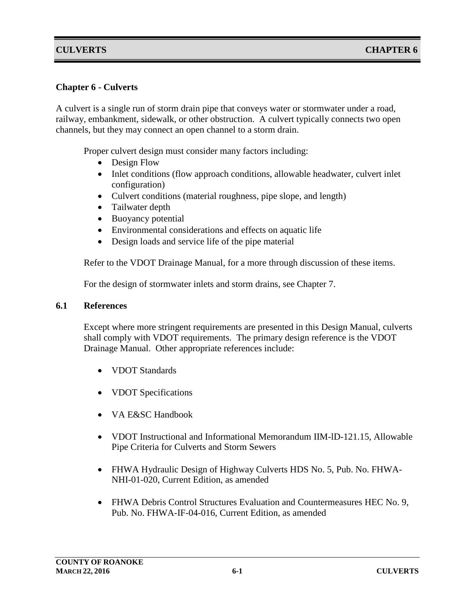#### **Chapter 6 - Culverts**

A culvert is a single run of storm drain pipe that conveys water or stormwater under a road, railway, embankment, sidewalk, or other obstruction. A culvert typically connects two open channels, but they may connect an open channel to a storm drain.

Proper culvert design must consider many factors including:

- Design Flow
- Inlet conditions (flow approach conditions, allowable headwater, culvert inlet configuration)
- Culvert conditions (material roughness, pipe slope, and length)
- Tailwater depth
- Buoyancy potential
- Environmental considerations and effects on aquatic life
- Design loads and service life of the pipe material

Refer to the VDOT Drainage Manual, for a more through discussion of these items.

For the design of stormwater inlets and storm drains, see Chapter 7.

#### **6.1 References**

Except where more stringent requirements are presented in this Design Manual, culverts shall comply with VDOT requirements. The primary design reference is the VDOT Drainage Manual. Other appropriate references include:

- VDOT Standards
- VDOT Specifications
- VA E&SC Handbook
- VDOT Instructional and Informational Memorandum IIM-ID-121.15, Allowable Pipe Criteria for Culverts and Storm Sewers
- FHWA Hydraulic Design of Highway Culverts HDS No. 5, Pub. No. FHWA-NHI-01-020, Current Edition, as amended
- FHWA Debris Control Structures Evaluation and Countermeasures HEC No. 9, Pub. No. FHWA-IF-04-016, Current Edition, as amended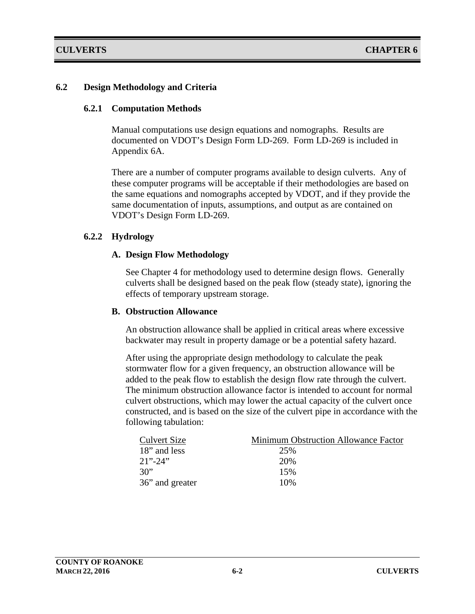#### **6.2 Design Methodology and Criteria**

#### **6.2.1 Computation Methods**

Manual computations use design equations and nomographs. Results are documented on VDOT's Design Form LD-269. Form LD-269 is included in Appendix 6A.

There are a number of computer programs available to design culverts. Any of these computer programs will be acceptable if their methodologies are based on the same equations and nomographs accepted by VDOT, and if they provide the same documentation of inputs, assumptions, and output as are contained on VDOT's Design Form LD-269.

#### **6.2.2 Hydrology**

#### **A. Design Flow Methodology**

See Chapter 4 for methodology used to determine design flows. Generally culverts shall be designed based on the peak flow (steady state), ignoring the effects of temporary upstream storage.

#### **B. Obstruction Allowance**

An obstruction allowance shall be applied in critical areas where excessive backwater may result in property damage or be a potential safety hazard.

After using the appropriate design methodology to calculate the peak stormwater flow for a given frequency, an obstruction allowance will be added to the peak flow to establish the design flow rate through the culvert. The minimum obstruction allowance factor is intended to account for normal culvert obstructions, which may lower the actual capacity of the culvert once constructed, and is based on the size of the culvert pipe in accordance with the following tabulation:

| <b>Culvert Size</b> | Minimum Obstruction Allowance Factor |
|---------------------|--------------------------------------|
| 18" and less        | 25%                                  |
| $21" - 24"$         | 20%                                  |
| 30"                 | 15%                                  |
| 36" and greater     | 10%                                  |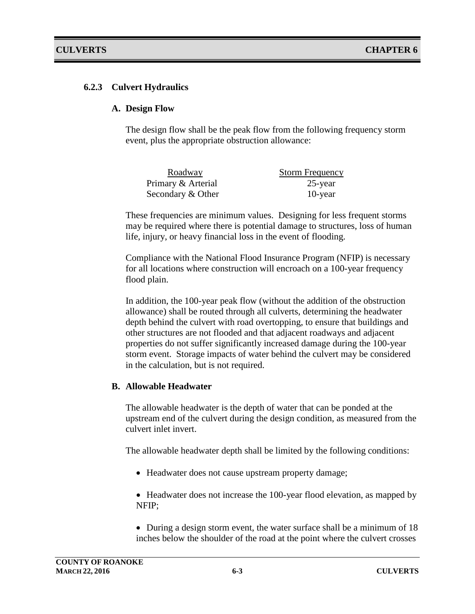#### **6.2.3 Culvert Hydraulics**

#### **A. Design Flow**

The design flow shall be the peak flow from the following frequency storm event, plus the appropriate obstruction allowance:

| Roadway            | <b>Storm Frequency</b> |
|--------------------|------------------------|
| Primary & Arterial | 25-year                |
| Secondary & Other  | 10-year                |

These frequencies are minimum values. Designing for less frequent storms may be required where there is potential damage to structures, loss of human life, injury, or heavy financial loss in the event of flooding.

Compliance with the National Flood Insurance Program (NFIP) is necessary for all locations where construction will encroach on a 100-year frequency flood plain.

In addition, the 100-year peak flow (without the addition of the obstruction allowance) shall be routed through all culverts, determining the headwater depth behind the culvert with road overtopping, to ensure that buildings and other structures are not flooded and that adjacent roadways and adjacent properties do not suffer significantly increased damage during the 100-year storm event. Storage impacts of water behind the culvert may be considered in the calculation, but is not required.

#### **B. Allowable Headwater**

The allowable headwater is the depth of water that can be ponded at the upstream end of the culvert during the design condition, as measured from the culvert inlet invert.

The allowable headwater depth shall be limited by the following conditions:

• Headwater does not cause upstream property damage;

• Headwater does not increase the 100-year flood elevation, as mapped by NFIP;

• During a design storm event, the water surface shall be a minimum of 18 inches below the shoulder of the road at the point where the culvert crosses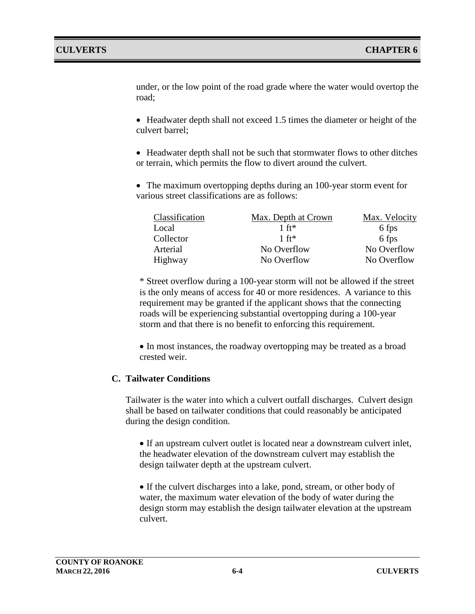under, or the low point of the road grade where the water would overtop the road;

• Headwater depth shall not exceed 1.5 times the diameter or height of the culvert barrel;

• Headwater depth shall not be such that stormwater flows to other ditches or terrain, which permits the flow to divert around the culvert.

• The maximum overtopping depths during an 100-year storm event for various street classifications are as follows:

| Classification | Max. Depth at Crown | Max. Velocity |
|----------------|---------------------|---------------|
| Local          | $1 \text{ ft}$      | 6 fps         |
| Collector      | $1 \text{ ft}$      | 6 fps         |
| Arterial       | No Overflow         | No Overflow   |
| Highway        | No Overflow         | No Overflow   |

\* Street overflow during a 100-year storm will not be allowed if the street is the only means of access for 40 or more residences. A variance to this requirement may be granted if the applicant shows that the connecting roads will be experiencing substantial overtopping during a 100-year storm and that there is no benefit to enforcing this requirement.

• In most instances, the roadway overtopping may be treated as a broad crested weir.

#### **C. Tailwater Conditions**

Tailwater is the water into which a culvert outfall discharges. Culvert design shall be based on tailwater conditions that could reasonably be anticipated during the design condition.

• If an upstream culvert outlet is located near a downstream culvert inlet, the headwater elevation of the downstream culvert may establish the design tailwater depth at the upstream culvert.

• If the culvert discharges into a lake, pond, stream, or other body of water, the maximum water elevation of the body of water during the design storm may establish the design tailwater elevation at the upstream culvert.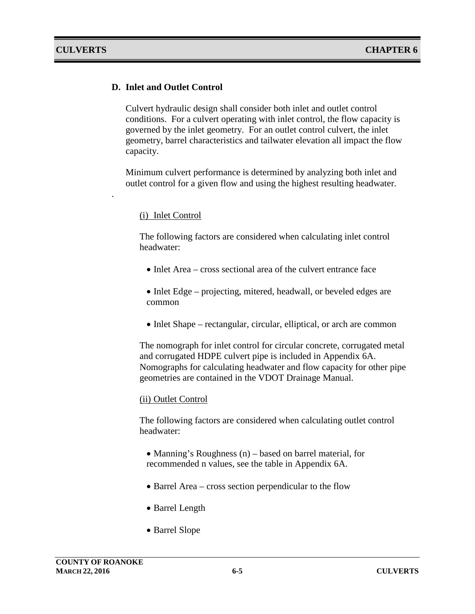.

#### **D. Inlet and Outlet Control**

Culvert hydraulic design shall consider both inlet and outlet control conditions. For a culvert operating with inlet control, the flow capacity is governed by the inlet geometry. For an outlet control culvert, the inlet geometry, barrel characteristics and tailwater elevation all impact the flow capacity.

Minimum culvert performance is determined by analyzing both inlet and outlet control for a given flow and using the highest resulting headwater.

#### (i) Inlet Control

The following factors are considered when calculating inlet control headwater:

- Inlet Area cross sectional area of the culvert entrance face
- Inlet Edge projecting, mitered, headwall, or beveled edges are common
- Inlet Shape rectangular, circular, elliptical, or arch are common

The nomograph for inlet control for circular concrete, corrugated metal and corrugated HDPE culvert pipe is included in Appendix 6A. Nomographs for calculating headwater and flow capacity for other pipe geometries are contained in the VDOT Drainage Manual.

#### (ii) Outlet Control

The following factors are considered when calculating outlet control headwater:

- Manning's Roughness (n) based on barrel material, for recommended n values, see the table in Appendix 6A.
- Barrel Area cross section perpendicular to the flow
- Barrel Length
- Barrel Slope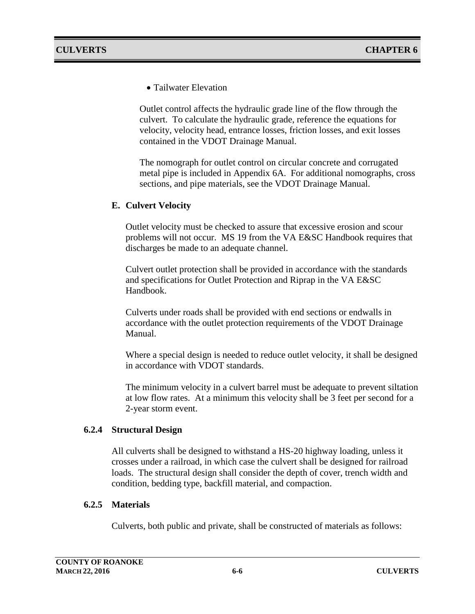• Tailwater Elevation

Outlet control affects the hydraulic grade line of the flow through the culvert. To calculate the hydraulic grade, reference the equations for velocity, velocity head, entrance losses, friction losses, and exit losses contained in the VDOT Drainage Manual.

The nomograph for outlet control on circular concrete and corrugated metal pipe is included in Appendix 6A. For additional nomographs, cross sections, and pipe materials, see the VDOT Drainage Manual.

#### **E. Culvert Velocity**

Outlet velocity must be checked to assure that excessive erosion and scour problems will not occur. MS 19 from the VA E&SC Handbook requires that discharges be made to an adequate channel.

Culvert outlet protection shall be provided in accordance with the standards and specifications for Outlet Protection and Riprap in the VA E&SC Handbook.

Culverts under roads shall be provided with end sections or endwalls in accordance with the outlet protection requirements of the VDOT Drainage Manual.

Where a special design is needed to reduce outlet velocity, it shall be designed in accordance with VDOT standards.

The minimum velocity in a culvert barrel must be adequate to prevent siltation at low flow rates. At a minimum this velocity shall be 3 feet per second for a 2-year storm event.

#### **6.2.4 Structural Design**

All culverts shall be designed to withstand a HS-20 highway loading, unless it crosses under a railroad, in which case the culvert shall be designed for railroad loads. The structural design shall consider the depth of cover, trench width and condition, bedding type, backfill material, and compaction.

#### **6.2.5 Materials**

Culverts, both public and private, shall be constructed of materials as follows: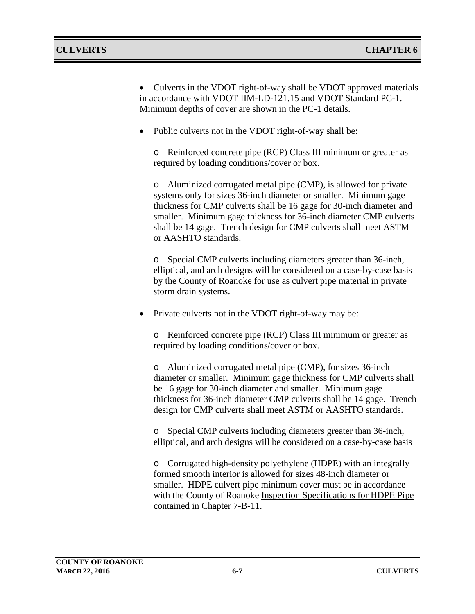• Culverts in the VDOT right-of-way shall be VDOT approved materials in accordance with VDOT IIM-LD-121.15 and VDOT Standard PC-1. Minimum depths of cover are shown in the PC-1 details.

• Public culverts not in the VDOT right-of-way shall be:

o Reinforced concrete pipe (RCP) Class III minimum or greater as required by loading conditions/cover or box.

o Aluminized corrugated metal pipe (CMP), is allowed for private systems only for sizes 36-inch diameter or smaller. Minimum gage thickness for CMP culverts shall be 16 gage for 30-inch diameter and smaller. Minimum gage thickness for 36-inch diameter CMP culverts shall be 14 gage. Trench design for CMP culverts shall meet ASTM or AASHTO standards.

o Special CMP culverts including diameters greater than 36-inch, elliptical, and arch designs will be considered on a case-by-case basis by the County of Roanoke for use as culvert pipe material in private storm drain systems.

• Private culverts not in the VDOT right-of-way may be:

o Reinforced concrete pipe (RCP) Class III minimum or greater as required by loading conditions/cover or box.

o Aluminized corrugated metal pipe (CMP), for sizes 36-inch diameter or smaller. Minimum gage thickness for CMP culverts shall be 16 gage for 30-inch diameter and smaller. Minimum gage thickness for 36-inch diameter CMP culverts shall be 14 gage. Trench design for CMP culverts shall meet ASTM or AASHTO standards.

o Special CMP culverts including diameters greater than 36-inch, elliptical, and arch designs will be considered on a case-by-case basis

o Corrugated high-density polyethylene (HDPE) with an integrally formed smooth interior is allowed for sizes 48-inch diameter or smaller. HDPE culvert pipe minimum cover must be in accordance with the County of Roanoke Inspection Specifications for HDPE Pipe contained in Chapter 7-B-11.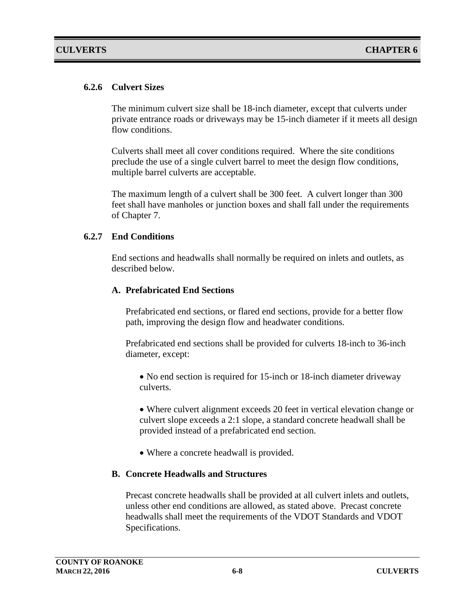#### **6.2.6 Culvert Sizes**

The minimum culvert size shall be 18-inch diameter, except that culverts under private entrance roads or driveways may be 15-inch diameter if it meets all design flow conditions.

Culverts shall meet all cover conditions required. Where the site conditions preclude the use of a single culvert barrel to meet the design flow conditions, multiple barrel culverts are acceptable.

The maximum length of a culvert shall be 300 feet. A culvert longer than 300 feet shall have manholes or junction boxes and shall fall under the requirements of Chapter 7.

#### **6.2.7 End Conditions**

End sections and headwalls shall normally be required on inlets and outlets, as described below.

#### **A. Prefabricated End Sections**

Prefabricated end sections, or flared end sections, provide for a better flow path, improving the design flow and headwater conditions.

Prefabricated end sections shall be provided for culverts 18-inch to 36-inch diameter, except:

• No end section is required for 15-inch or 18-inch diameter driveway culverts.

• Where culvert alignment exceeds 20 feet in vertical elevation change or culvert slope exceeds a 2:1 slope, a standard concrete headwall shall be provided instead of a prefabricated end section.

• Where a concrete headwall is provided.

#### **B. Concrete Headwalls and Structures**

Precast concrete headwalls shall be provided at all culvert inlets and outlets, unless other end conditions are allowed, as stated above. Precast concrete headwalls shall meet the requirements of the VDOT Standards and VDOT Specifications.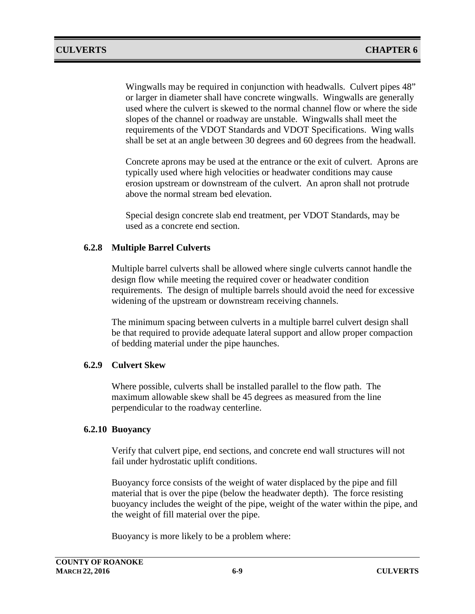Wingwalls may be required in conjunction with headwalls. Culvert pipes 48" or larger in diameter shall have concrete wingwalls. Wingwalls are generally used where the culvert is skewed to the normal channel flow or where the side slopes of the channel or roadway are unstable. Wingwalls shall meet the requirements of the VDOT Standards and VDOT Specifications. Wing walls shall be set at an angle between 30 degrees and 60 degrees from the headwall.

Concrete aprons may be used at the entrance or the exit of culvert. Aprons are typically used where high velocities or headwater conditions may cause erosion upstream or downstream of the culvert. An apron shall not protrude above the normal stream bed elevation.

Special design concrete slab end treatment, per VDOT Standards, may be used as a concrete end section.

#### **6.2.8 Multiple Barrel Culverts**

Multiple barrel culverts shall be allowed where single culverts cannot handle the design flow while meeting the required cover or headwater condition requirements. The design of multiple barrels should avoid the need for excessive widening of the upstream or downstream receiving channels.

The minimum spacing between culverts in a multiple barrel culvert design shall be that required to provide adequate lateral support and allow proper compaction of bedding material under the pipe haunches.

#### **6.2.9 Culvert Skew**

Where possible, culverts shall be installed parallel to the flow path. The maximum allowable skew shall be 45 degrees as measured from the line perpendicular to the roadway centerline.

#### **6.2.10 Buoyancy**

Verify that culvert pipe, end sections, and concrete end wall structures will not fail under hydrostatic uplift conditions.

Buoyancy force consists of the weight of water displaced by the pipe and fill material that is over the pipe (below the headwater depth). The force resisting buoyancy includes the weight of the pipe, weight of the water within the pipe, and the weight of fill material over the pipe.

Buoyancy is more likely to be a problem where: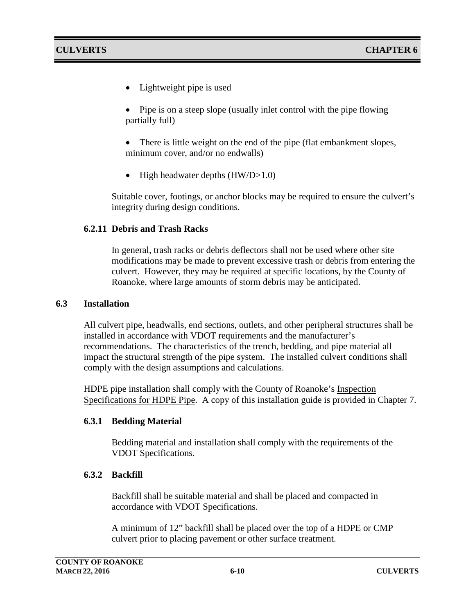• Lightweight pipe is used

• Pipe is on a steep slope (usually inlet control with the pipe flowing partially full)

There is little weight on the end of the pipe (flat embankment slopes, minimum cover, and/or no endwalls)

• High headwater depths (HW/D>1.0)

Suitable cover, footings, or anchor blocks may be required to ensure the culvert's integrity during design conditions.

#### **6.2.11 Debris and Trash Racks**

In general, trash racks or debris deflectors shall not be used where other site modifications may be made to prevent excessive trash or debris from entering the culvert. However, they may be required at specific locations, by the County of Roanoke, where large amounts of storm debris may be anticipated.

#### **6.3 Installation**

All culvert pipe, headwalls, end sections, outlets, and other peripheral structures shall be installed in accordance with VDOT requirements and the manufacturer's recommendations. The characteristics of the trench, bedding, and pipe material all impact the structural strength of the pipe system. The installed culvert conditions shall comply with the design assumptions and calculations.

HDPE pipe installation shall comply with the County of Roanoke's Inspection Specifications for HDPE Pipe. A copy of this installation guide is provided in Chapter 7.

#### **6.3.1 Bedding Material**

Bedding material and installation shall comply with the requirements of the VDOT Specifications.

#### **6.3.2 Backfill**

Backfill shall be suitable material and shall be placed and compacted in accordance with VDOT Specifications.

A minimum of 12" backfill shall be placed over the top of a HDPE or CMP culvert prior to placing pavement or other surface treatment.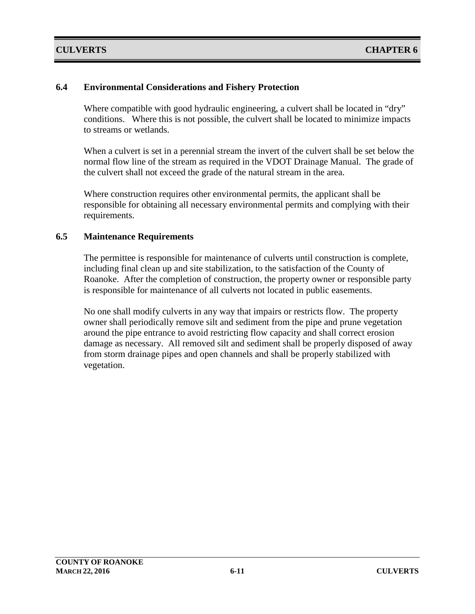#### **6.4 Environmental Considerations and Fishery Protection**

Where compatible with good hydraulic engineering, a culvert shall be located in "dry" conditions. Where this is not possible, the culvert shall be located to minimize impacts to streams or wetlands.

When a culvert is set in a perennial stream the invert of the culvert shall be set below the normal flow line of the stream as required in the VDOT Drainage Manual. The grade of the culvert shall not exceed the grade of the natural stream in the area.

Where construction requires other environmental permits, the applicant shall be responsible for obtaining all necessary environmental permits and complying with their requirements.

#### **6.5 Maintenance Requirements**

The permittee is responsible for maintenance of culverts until construction is complete, including final clean up and site stabilization, to the satisfaction of the County of Roanoke. After the completion of construction, the property owner or responsible party is responsible for maintenance of all culverts not located in public easements.

No one shall modify culverts in any way that impairs or restricts flow. The property owner shall periodically remove silt and sediment from the pipe and prune vegetation around the pipe entrance to avoid restricting flow capacity and shall correct erosion damage as necessary. All removed silt and sediment shall be properly disposed of away from storm drainage pipes and open channels and shall be properly stabilized with vegetation.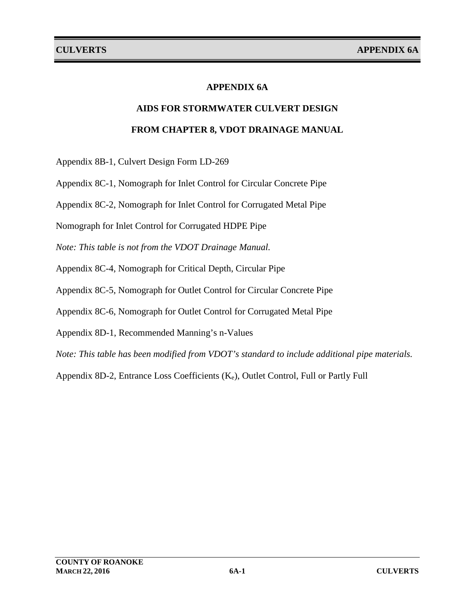### **APPENDIX 6A**

# **AIDS FOR STORMWATER CULVERT DESIGN FROM CHAPTER 8, VDOT DRAINAGE MANUAL**

Appendix 8B-1, Culvert Design Form LD-269

Appendix 8C-1, Nomograph for Inlet Control for Circular Concrete Pipe

Appendix 8C-2, Nomograph for Inlet Control for Corrugated Metal Pipe

Nomograph for Inlet Control for Corrugated HDPE Pipe

*Note: This table is not from the VDOT Drainage Manual.*

Appendix 8C-4, Nomograph for Critical Depth, Circular Pipe

Appendix 8C-5, Nomograph for Outlet Control for Circular Concrete Pipe

Appendix 8C-6, Nomograph for Outlet Control for Corrugated Metal Pipe

Appendix 8D-1, Recommended Manning's n-Values

*Note: This table has been modified from VDOT's standard to include additional pipe materials.*

Appendix 8D-2, Entrance Loss Coefficients (Ke), Outlet Control, Full or Partly Full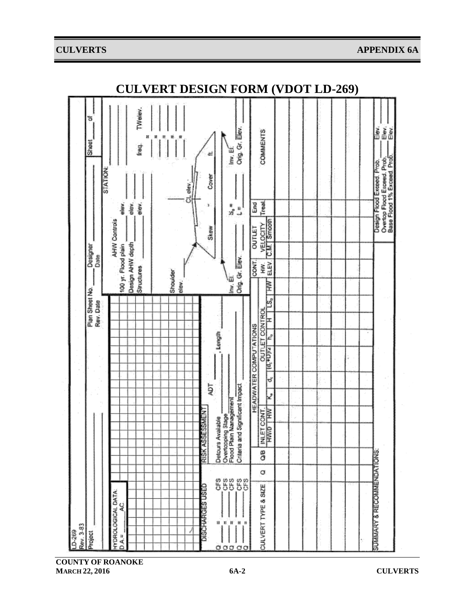#### **CULVERTS APPENDIX 6A**



**COUNTY OF ROANOKE MARCH 22, 2016 6A-2 CULVERTS**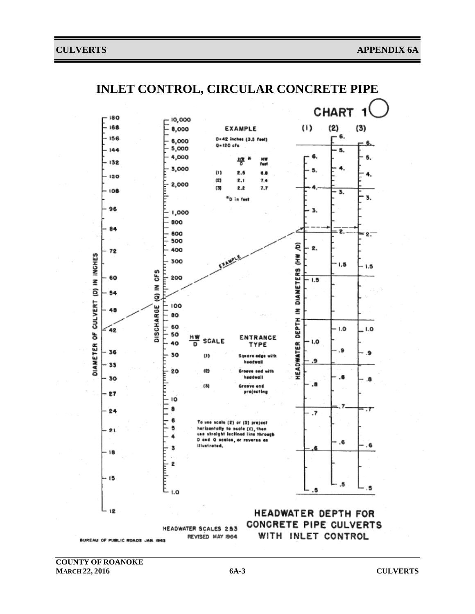

**COUNTY OF ROANOKE MARCH 22, 2016 6A-3 CULVERTS**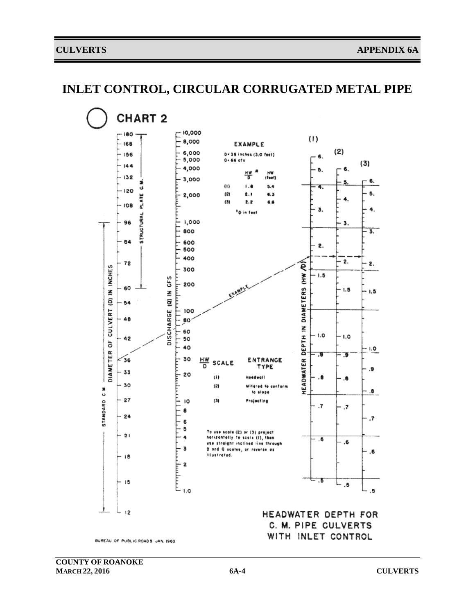## **INLET CONTROL, CIRCULAR CORRUGATED METAL PIPE**

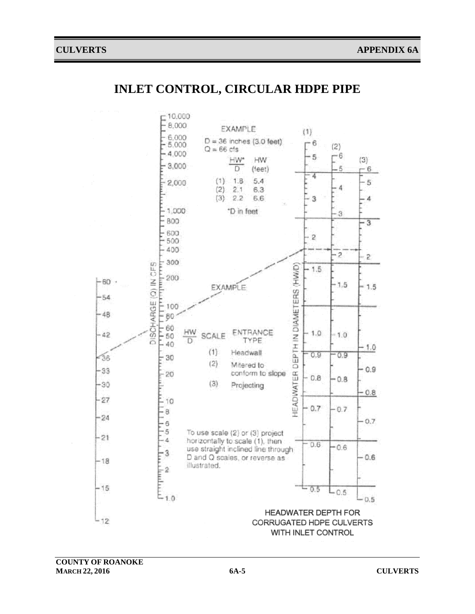## **INLET CONTROL, CIRCULAR HDPE PIPE**

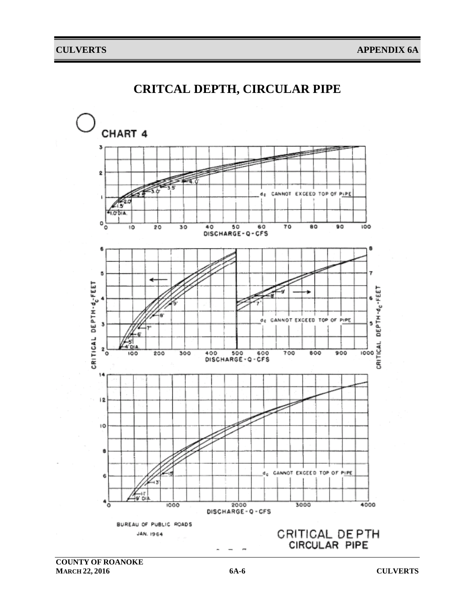

## **CRITCAL DEPTH, CIRCULAR PIPE**

**COUNTY OF ROANOKE MARCH 22, 2016 6A-6 CULVERTS**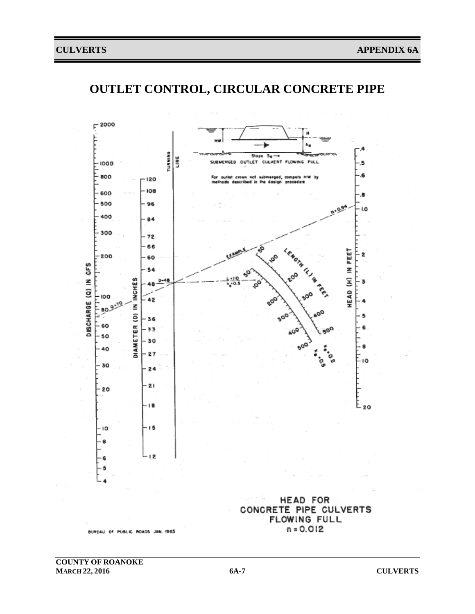# **OUTLET CONTROL, CIRCULAR CONCRETE PIPE**

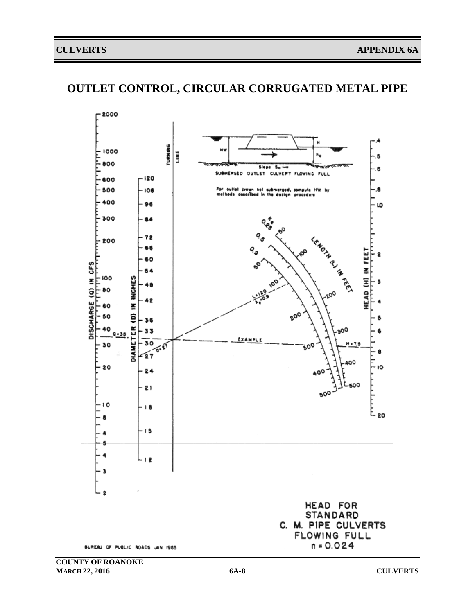## **OUTLET CONTROL, CIRCULAR CORRUGATED METAL PIPE**



BUREAU OF PUBLIC ROADS JAN. 1983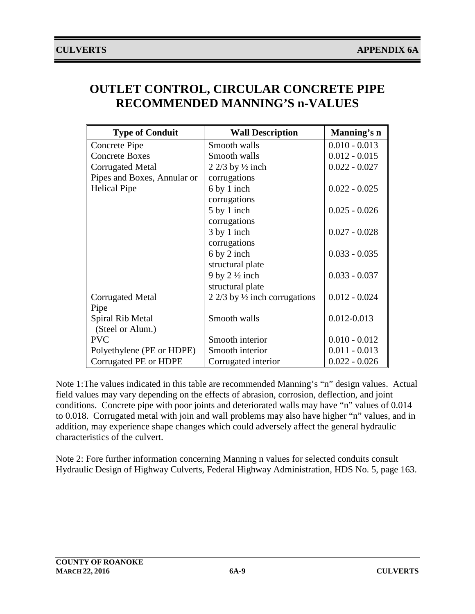| <b>OUTLET CONTROL, CIRCULAR CONCRETE PIPE</b> |  |
|-----------------------------------------------|--|
| <b>RECOMMENDED MANNING'S n-VALUES</b>         |  |

| <b>Type of Conduit</b>      | <b>Wall Description</b>                  | Manning's n     |
|-----------------------------|------------------------------------------|-----------------|
| Concrete Pipe               | Smooth walls                             | $0.010 - 0.013$ |
| <b>Concrete Boxes</b>       | Smooth walls                             | $0.012 - 0.015$ |
| <b>Corrugated Metal</b>     | 2 2/3 by $\frac{1}{2}$ inch              | $0.022 - 0.027$ |
| Pipes and Boxes, Annular or | corrugations                             |                 |
| <b>Helical Pipe</b>         | 6 by 1 inch                              | $0.022 - 0.025$ |
|                             | corrugations                             |                 |
|                             | 5 by 1 inch                              | $0.025 - 0.026$ |
|                             | corrugations                             |                 |
|                             | 3 by 1 inch                              | $0.027 - 0.028$ |
|                             | corrugations                             |                 |
|                             | 6 by 2 inch                              | $0.033 - 0.035$ |
|                             | structural plate                         |                 |
|                             | 9 by $2\frac{1}{2}$ inch                 | $0.033 - 0.037$ |
|                             | structural plate                         |                 |
| <b>Corrugated Metal</b>     | 2 2/3 by $\frac{1}{2}$ inch corrugations | $0.012 - 0.024$ |
| Pipe                        |                                          |                 |
| Spiral Rib Metal            | Smooth walls                             | $0.012 - 0.013$ |
| (Steel or Alum.)            |                                          |                 |
| <b>PVC</b>                  | Smooth interior                          | $0.010 - 0.012$ |
| Polyethylene (PE or HDPE)   | Smooth interior                          | $0.011 - 0.013$ |
| Corrugated PE or HDPE       | Corrugated interior                      | $0.022 - 0.026$ |

Note 1:The values indicated in this table are recommended Manning's "n" design values. Actual field values may vary depending on the effects of abrasion, corrosion, deflection, and joint conditions. Concrete pipe with poor joints and deteriorated walls may have "n" values of 0.014 to 0.018. Corrugated metal with join and wall problems may also have higher "n" values, and in addition, may experience shape changes which could adversely affect the general hydraulic characteristics of the culvert.

Note 2: Fore further information concerning Manning n values for selected conduits consult Hydraulic Design of Highway Culverts, Federal Highway Administration, HDS No. 5, page 163.